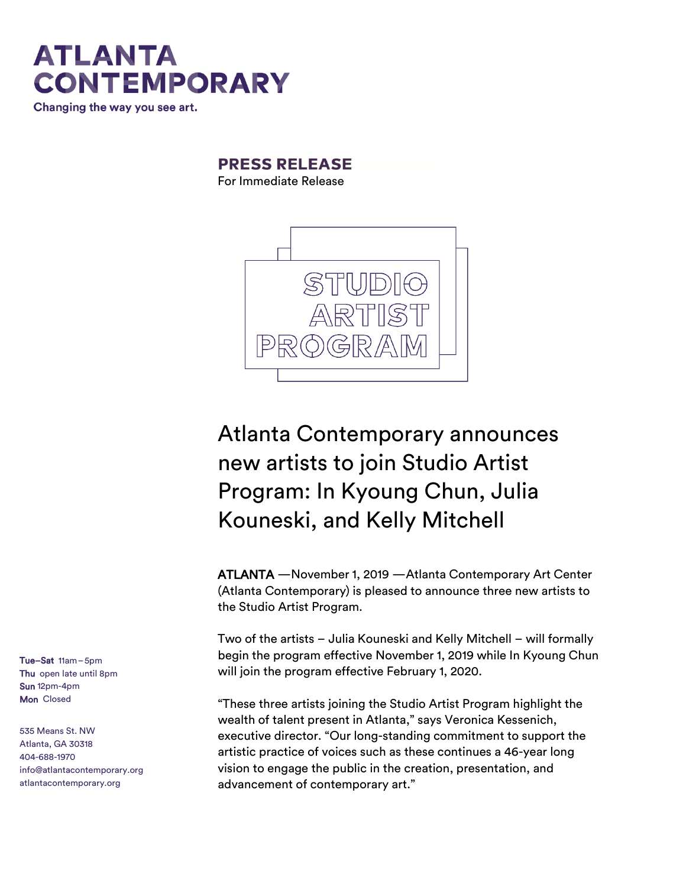

### **PRESS RELEASE**

For Immediate Release



### Atlanta Contemporary announces new artists to join Studio Artist Program: In Kyoung Chun, Julia Kouneski, and Kelly Mitchell

ATLANTA —November 1, 2019 —Atlanta Contemporary Art Center (Atlanta Contemporary) is pleased to announce three new artists to the Studio Artist Program.

Two of the artists – Julia Kouneski and Kelly Mitchell – will formally begin the program effective November 1, 2019 while In Kyoung Chun will join the program effective February 1, 2020.

"These three artists joining the Studio Artist Program highlight the wealth of talent present in Atlanta," says Veronica Kessenich, executive director. "Our long-standing commitment to support the artistic practice of voices such as these continues a 46-year long vision to engage the public in the creation, presentation, and advancement of contemporary art."

Tue–Sat 11am–5pm Thu open late until 8pm Sun 12pm-4pm Mon Closed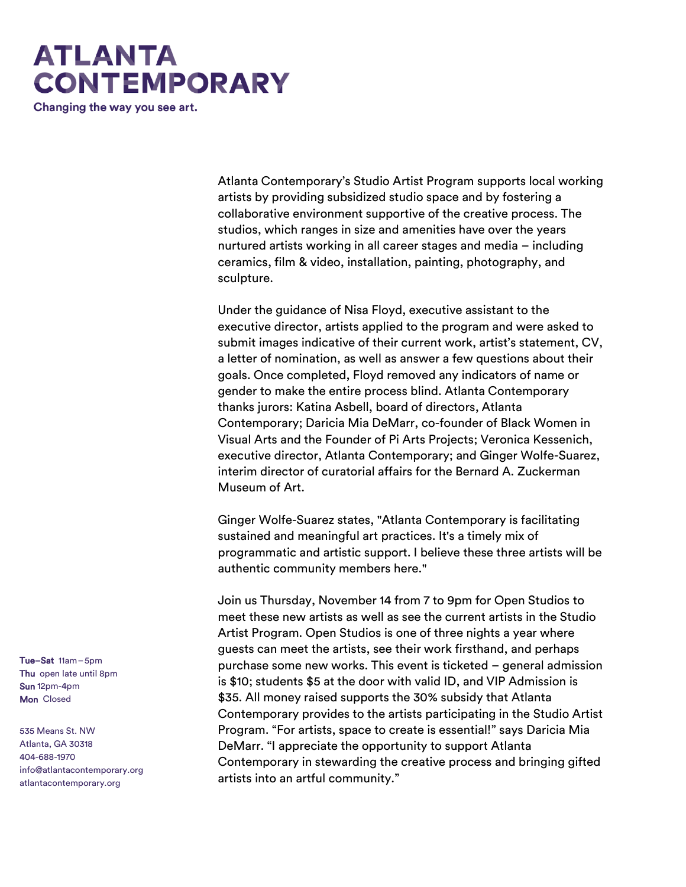## **ATLANTA CONTEMPORARY**

Changing the way you see art.

Atlanta Contemporary's Studio Artist Program supports local working artists by providing subsidized studio space and by fostering a collaborative environment supportive of the creative process. The studios, which ranges in size and amenities have over the years nurtured artists working in all career stages and media – including ceramics, film & video, installation, painting, photography, and sculpture.

Under the guidance of Nisa Floyd, executive assistant to the executive director, artists applied to the program and were asked to submit images indicative of their current work, artist's statement, CV, a letter of nomination, as well as answer a few questions about their goals. Once completed, Floyd removed any indicators of name or gender to make the entire process blind. Atlanta Contemporary thanks jurors: Katina Asbell, board of directors, Atlanta Contemporary; Daricia Mia DeMarr, co-founder of Black Women in Visual Arts and the Founder of Pi Arts Projects; Veronica Kessenich, executive director, Atlanta Contemporary; and Ginger Wolfe-Suarez, interim director of curatorial affairs for the Bernard A. Zuckerman Museum of Art.

Ginger Wolfe-Suarez states, "Atlanta Contemporary is facilitating sustained and meaningful art practices. It's a timely mix of programmatic and artistic support. I believe these three artists will be authentic community members here."

Join us Thursday, November 14 from 7 to 9pm for Open Studios to meet these new artists as well as see the current artists in the Studio Artist Program. Open Studios is one of three nights a year where guests can meet the artists, see their work firsthand, and perhaps purchase some new works. This event is ticketed – general admission is \$10; students \$5 at the door with valid ID, and VIP Admission is \$35. All money raised supports the 30% subsidy that Atlanta Contemporary provides to the artists participating in the Studio Artist Program. "For artists, space to create is essential!" says Daricia Mia DeMarr. "I appreciate the opportunity to support Atlanta Contemporary in stewarding the creative process and bringing gifted artists into an artful community."

Tue–Sat 11am–5pm Thu open late until 8pm Sun 12pm-4pm Mon Closed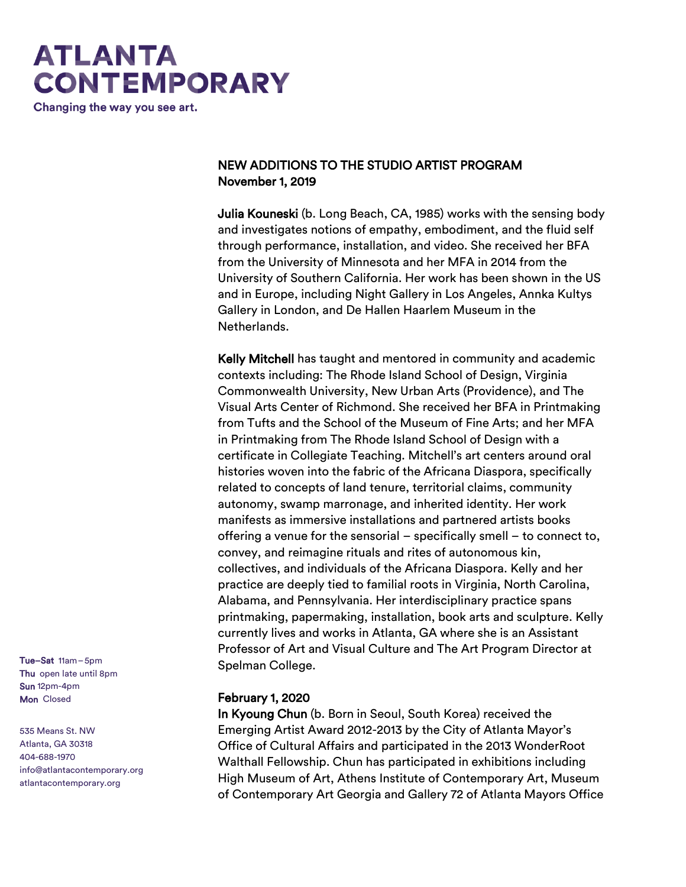# **ATLANTA CONTEMPORARY**

Changing the way you see art.

#### NEW ADDITIONS TO THE STUDIO ARTIST PROGRAM November 1, 2019

Julia Kouneski (b. Long Beach, CA, 1985) works with the sensing body and investigates notions of empathy, embodiment, and the fluid self through performance, installation, and video. She received her BFA from the University of Minnesota and her MFA in 2014 from the University of Southern California. Her work has been shown in the US and in Europe, including Night Gallery in Los Angeles, Annka Kultys Gallery in London, and De Hallen Haarlem Museum in the Netherlands.

Kelly Mitchell has taught and mentored in community and academic contexts including: The Rhode Island School of Design, Virginia Commonwealth University, New Urban Arts (Providence), and The Visual Arts Center of Richmond. She received her BFA in Printmaking from Tufts and the School of the Museum of Fine Arts; and her MFA in Printmaking from The Rhode Island School of Design with a certificate in Collegiate Teaching. Mitchell's art centers around oral histories woven into the fabric of the Africana Diaspora, specifically related to concepts of land tenure, territorial claims, community autonomy, swamp marronage, and inherited identity. Her work manifests as immersive installations and partnered artists books offering a venue for the sensorial – specifically smell – to connect to, convey, and reimagine rituals and rites of autonomous kin, collectives, and individuals of the Africana Diaspora. Kelly and her practice are deeply tied to familial roots in Virginia, North Carolina, Alabama, and Pennsylvania. Her interdisciplinary practice spans printmaking, papermaking, installation, book arts and sculpture. Kelly currently lives and works in Atlanta, GA where she is an Assistant Professor of Art and Visual Culture and The Art Program Director at Spelman College.

#### February 1, 2020

In Kyoung Chun (b. Born in Seoul, South Korea) received the Emerging Artist Award 2012-2013 by the City of Atlanta Mayor's Office of Cultural Affairs and participated in the 2013 WonderRoot Walthall Fellowship. Chun has participated in exhibitions including High Museum of Art, Athens Institute of Contemporary Art, Museum of Contemporary Art Georgia and Gallery 72 of Atlanta Mayors Office

Tue–Sat 11am–5pm Thu open late until 8pm Sun 12pm-4pm Mon Closed